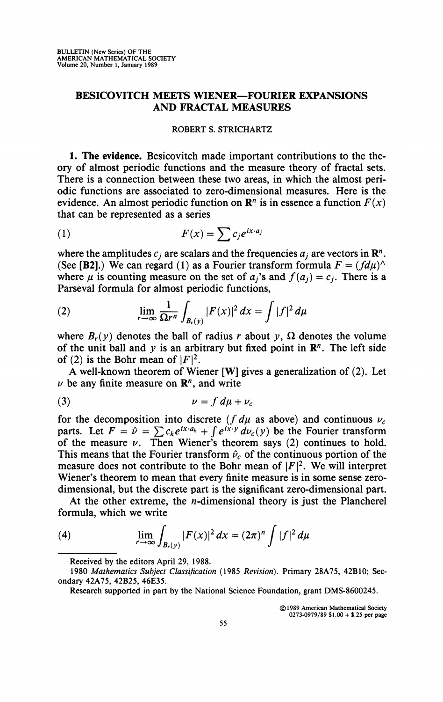## **BESICOVITCH MEETS WIENER—FOURIER EXPANSIONS AND FRACTAL MEASURES**

## **ROBERT S. STRICHARTZ**

**1. The evidence.** Besicovitch made important contributions to the theory of almost periodic functions and the measure theory of fractal sets. There is a connection between these two areas, in which the almost periodic functions are associated to zero-dimensional measures. Here is the evidence. An almost periodic function on  $\mathbb{R}^n$  is in essence a function  $F(x)$ that can be represented as a series

$$
(1) \tF(x) = \sum c_j e^{ix \cdot a_j}
$$

where the amplitudes  $c_j$  are scalars and the frequencies  $a_j$  are vectors in  $\mathbb{R}^n$ . (See [B2].) We can regard (1) as a Fourier transform formula  $F = (fd\mu)^{\wedge}$ where  $\mu$  is counting measure on the set of  $a_i$ 's and  $f(a_i) = c_i$ . There is a Parseval formula for almost periodic functions,

(2) 
$$
\lim_{r \to \infty} \frac{1}{\Omega r^n} \int_{B_r(y)} |F(x)|^2 dx = \int |f|^2 d\mu
$$

where  $B_r(y)$  denotes the ball of radius r about y,  $\Omega$  denotes the volume of the unit ball and  $y$  is an arbitrary but fixed point in  $\mathbb{R}^n$ . The left side of (2) is the Bohr mean of  $|F|^2$ .

A well-known theorem of Wiener [W] gives a generalization of (2). Let  $\nu$  be any finite measure on  $\mathbb{R}^n$ , and write

$$
\nu = f d\mu + \nu_c
$$

for the decomposition into discrete ( $f d\mu$  as above) and continuous  $\nu_c$ parts. Let  $F = \hat{\nu} = \sum c_k e^{ix \cdot a_k} + \int e^{ix \cdot y} \, d\nu_c(y)$  be the Fourier transform of the measure  $\nu$ . Then Wiener's theorem says (2) continues to hold. This means that the Fourier transform  $\hat{\nu}_c$  of the continuous portion of the measure does not contribute to the Bohr mean of  $|F|^2$ . We will interpret Wiener's theorem to mean that every finite measure is in some sense zerodimensional, but the discrete part is the significant zero-dimensional part.

At the other extreme, the  $n$ -dimensional theory is just the Plancherel formula, which we write

(4) 
$$
\lim_{r \to \infty} \int_{B_r(y)} |F(x)|^2 dx = (2\pi)^n \int |f|^2 d\mu
$$

**© 1989 American Mathematical Society 0273-0979/89 \$1.00 + \$.25 per page** 

**Received by the editors April 29, 1988.** 

**<sup>1980</sup>** *Mathematics Subject Classification* **(1985** *Revision).* **Primary 28A75, 42B10; Secondary 42A75, 42B25, 46E35.** 

**Research supported in part by the National Science Foundation, grant DMS-8600245.**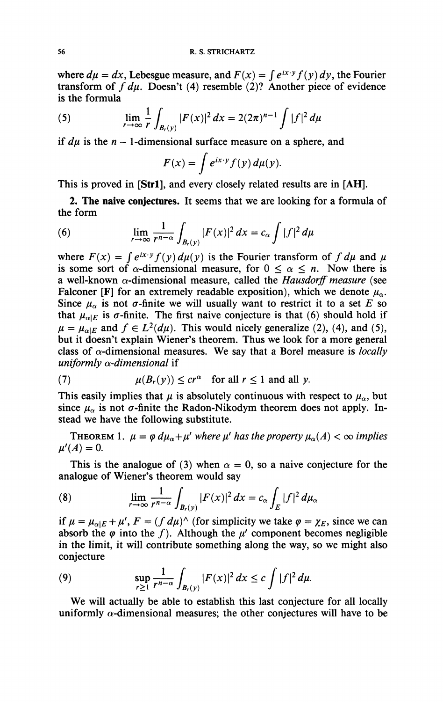where  $d\mu = dx$ , Lebesgue measure, and  $F(x) = \int e^{ix \cdot y} f(y) dy$ , the Fourier transform of  $f du$ . Doesn't (4) resemble (2)? Another piece of evidence is the formula

(5) 
$$
\lim_{r \to \infty} \frac{1}{r} \int_{B_r(y)} |F(x)|^2 dx = 2(2\pi)^{n-1} \int |f|^2 d\mu
$$

if  $d\mu$  is the  $n-1$ -dimensional surface measure on a sphere, and

$$
F(x) = \int e^{ix \cdot y} f(y) d\mu(y).
$$

This is proved in **[Strl],** and every closely related results are in **[AH].** 

**2. The naive conjectures.** It seems that we are looking for a formula of the form

(6) 
$$
\lim_{r \to \infty} \frac{1}{r^{n-\alpha}} \int_{B_r(y)} |F(x)|^2 dx = c_\alpha \int |f|^2 d\mu
$$

where  $F(x) = \int e^{ix \cdot y} f(y) d\mu(y)$  is the Fourier transform of  $f d\mu$  and  $\mu$ is some sort of  $\alpha$ -dimensional measure, for  $0 \leq \alpha \leq n$ . Now there is a well-known a-dimensional measure, called the *Hausdorff measure* (see Falconer **[F]** for an extremely readable exposition), which we denote  $\mu_{\alpha}$ . Since  $\mu_{\alpha}$  is not  $\sigma$ -finite we will usually want to restrict it to a set E so that  $\mu_{\alpha|E}$  is  $\sigma$ -finite. The first naive conjecture is that (6) should hold if  $\mu = \mu_{\alpha|E}$  and  $f \in L^2(d\mu)$ . This would nicely generalize (2), (4), and (5), but it doesn't explain Wiener's theorem. Thus we look for a more general class of a-dimensional measures. We say that a Borel measure is *locally uniformly a-dimensional* **if** 

(7) 
$$
\mu(B_r(y)) \leq cr^{\alpha} \quad \text{for all } r \leq 1 \text{ and all } y.
$$

This easily implies that  $\mu$  is absolutely continuous with respect to  $\mu_{\alpha}$ , but since  $\mu_{\alpha}$  is not  $\sigma$ -finite the Radon-Nikodym theorem does not apply. Instead we have the following substitute.

**THEOREM** 1.  $\mu = \varphi \, d\mu_\alpha + \mu'$  where  $\mu'$  has the property  $\mu_\alpha(A) < \infty$  implies  $\mu'(A) = 0.$ 

This is the analogue of (3) when  $\alpha = 0$ , so a naive conjecture for the analogue of Wiener's theorem would say

(8) 
$$
\lim_{r \to \infty} \frac{1}{r^{n-\alpha}} \int_{B_r(y)} |F(x)|^2 dx = c_\alpha \int_E |f|^2 d\mu_\alpha
$$

if  $\mu = \mu_{\alpha|E} + \mu'$ ,  $F = (f \, d\mu)$ <sup>'</sup> (for simplicity we take  $\varphi = \chi_E$ , since we can absorb the  $\varphi$  into the f. Although the  $\mu'$  component becomes negligible in the limit, it will contribute something along the way, so we might also conjecture

(9) 
$$
\sup_{r\geq 1}\frac{1}{r^{n-\alpha}}\int_{B_r(y)}|F(x)|^2\,dx\leq c\int|f|^2\,d\mu.
$$

We will actually be able to establish this last conjecture for all locally uniformly  $\alpha$ -dimensional measures; the other conjectures will have to be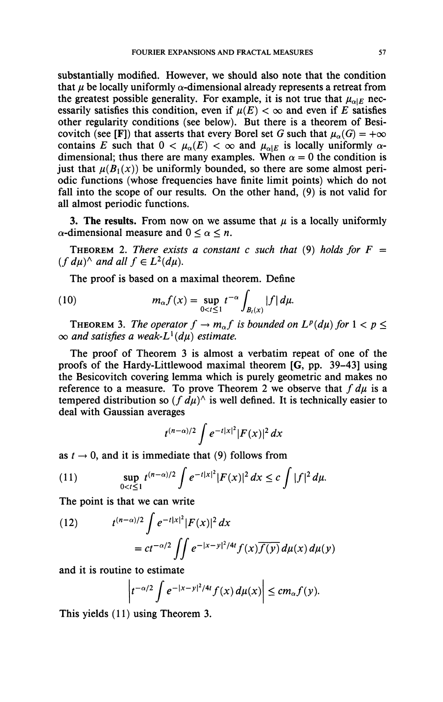substantially modified. However, we should also note that the condition that  $\mu$  be locally uniformly  $\alpha$ -dimensional already represents a retreat from the greatest possible generality. For example, it is not true that  $\mu_{\alpha|E}$  necessarily satisfies this condition, even if  $\mu(E) < \infty$  and even if *E* satisfies other regularity conditions (see below). But there is a theorem of Besicovitch (see [F]) that asserts that every Borel set G such that  $\mu_{\alpha}(G) = +\infty$ contains E such that  $0 < \mu_{\alpha}(E) < \infty$  and  $\mu_{\alpha|E}$  is locally uniformly  $\alpha$ dimensional; thus there are many examples. When  $\alpha = 0$  the condition is just that  $\mu(B_1(x))$  be uniformly bounded, so there are some almost periodic functions (whose frequencies have finite limit points) which do not fall into the scope of our results. On the other hand, (9) is not valid for all almost periodic functions.

**3. The results.** From now on we assume that  $\mu$  is a locally uniformly  $\alpha$ -dimensional measure and  $0 \leq \alpha \leq n$ .

**THEOREM** 2. There exists a constant c such that (9) holds for  $F =$  $(f\,d\mu)$ <sup>*A*</sup> and all  $f \in L^2(d\mu)$ .

The proof is based on a maximal theorem. Define

(10) 
$$
m_{\alpha} f(x) = \sup_{0 < t \leq 1} t^{-\alpha} \int_{B_{t}(x)} |f| d\mu.
$$

**THEOREM 3.** The operator  $f \to m_\alpha f$  is bounded on  $L^p(d\mu)$  for  $1 < p \leq$  $\infty$  and satisfies a weak- $L^1(d\mu)$  estimate.

The proof of Theorem 3 is almost a verbatim repeat of one of the proofs of the Hardy-Littlewood maximal theorem [G, pp. 39-43] using the Besicovitch covering lemma which is purely geometric and makes no reference to a measure. To prove Theorem 2 we observe that  $f d\mu$  is a tempered distribution so  $(f \, d\mu)^\wedge$  is well defined. It is technically easier to deal with Gaussian averages

$$
t^{(n-\alpha)/2}\int e^{-t|x|^2}|F(x)|^2 dx
$$

as  $t \rightarrow 0$ , and it is immediate that (9) follows from

(11) 
$$
\sup_{0 < t \le 1} t^{(n-\alpha)/2} \int e^{-t|x|^2} |F(x)|^2 dx \le c \int |f|^2 d\mu.
$$

The point is that we can write

(12) 
$$
t^{(n-\alpha)/2} \int e^{-t|x|^2} |F(x)|^2 dx
$$

$$
= ct^{-\alpha/2} \iint e^{-|x-y|^2/4t} f(x) \overline{f(y)} d\mu(x) d\mu(y)
$$

and it is routine to estimate

$$
\left|t^{-\alpha/2}\int e^{-|x-y|^2/4t}f(x)\,d\mu(x)\right|\leq c m_\alpha f(y).
$$

This yields (11) using Theorem 3.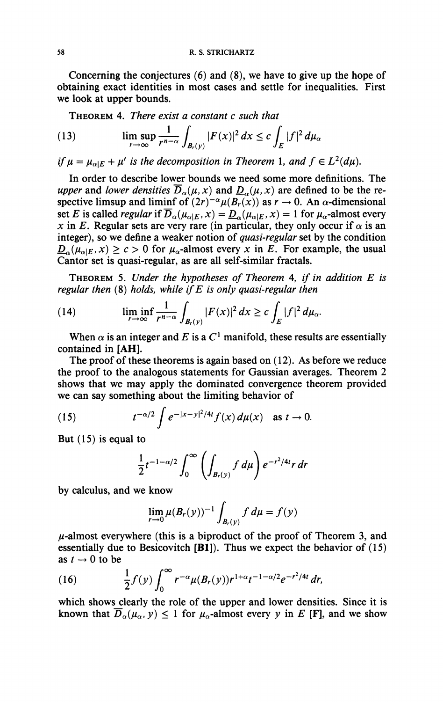**Concerning the conjectures (6) and (8), we have to give up the hope of obtaining exact identities in most cases and settle for inequalities. First we look at upper bounds.** 

**THEOREM 4.** *There exist a constant c such that* 

(13) 
$$
\limsup_{r \to \infty} \frac{1}{r^{n-\alpha}} \int_{B_r(y)} |F(x)|^2 dx \leq c \int_E |f|^2 d\mu_\alpha
$$

*if*  $\mu = \mu_{\alpha|E} + \mu'$  is the decomposition in Theorem 1, and  $f \in L^2(d\mu)$ .

**In order to describe lower bounds we need some more definitions. The**  *upper* and *lower densities*  $\overline{D}_\alpha(\mu, x)$  and  $\underline{D}_\alpha(\mu, x)$  are defined to be the respective limsup and liminf of  $(2r)^{-\alpha} \mu(B_r(x))$  as  $r \to 0$ . An  $\alpha$ -dimensional set *E* is called *regular* if  $\overline{D}_{\alpha}(\mu_{\alpha|E}, x) = \underline{D}_{\alpha}(\mu_{\alpha|E}, x) = 1$  for  $\mu_{\alpha}$ -almost every *x* in *E*. Regular sets are very rare (in particular, they only occur if  $\alpha$  is an **integer), so we define a weaker notion of** *quasi-regular* **set by the condition**   $\underline{D}_{\alpha}(\mu_{\alpha|E}, x) \geq c > 0$  for  $\mu_{\alpha}$ -almost every *x* in *E*. For example, the usual **Cantor set is quasi-regular, as are all self-similar fractals.** 

**THEOREM 5.** *Under the hypotheses of Theorem* **4,** *if in addition E is regular then* **(8)** *holds, while if E is only quasi-regular then* 

(14) 
$$
\liminf_{r \to \infty} \frac{1}{r^{n-\alpha}} \int_{B_r(y)} |F(x)|^2 dx \geq c \int_E |f|^2 d\mu_{\alpha}.
$$

When  $\alpha$  is an integer and E is a  $C^1$  manifold, these results are essentially **contained in [AH].** 

**The proof of these theorems is again based on ( 12). As before we reduce the proof to the analogous statements for Gaussian averages. Theorem 2 shows that we may apply the dominated convergence theorem provided we can say something about the limiting behavior of** 

(15) 
$$
t^{-\alpha/2} \int e^{-|x-y|^2/4t} f(x) d\mu(x) \text{ as } t \to 0.
$$

**But (15) is equal to** 

$$
\frac{1}{2}t^{-1-\alpha/2}\int_0^\infty \left(\int_{B_r(y)}f\,d\mu\right)e^{-r^2/4t}r\,dr
$$

**by calculus, and we know** 

$$
\lim_{r \to 0} \mu(B_r(y))^{-1} \int_{B_r(y)} f \, d\mu = f(y)
$$

**//-almost everywhere (this is a biproduct of the proof of Theorem 3, and essentially due to Besicovitch [Bl]). Thus we expect the behavior of (15)**  as  $t \rightarrow 0$  to be

(16) 
$$
\frac{1}{2}f(y)\int_0^{\infty}r^{-\alpha}\mu(B_r(y))r^{1+\alpha}t^{-1-\alpha/2}e^{-r^2/4t}\,dr,
$$

which shows clearly the role of the upper and lower densities. Since it is known that  $\overline{D}_{\alpha}(\mu_{\alpha}, y) \leq 1$  for  $\mu_{\alpha}$ -almost every y in E [F], and we show